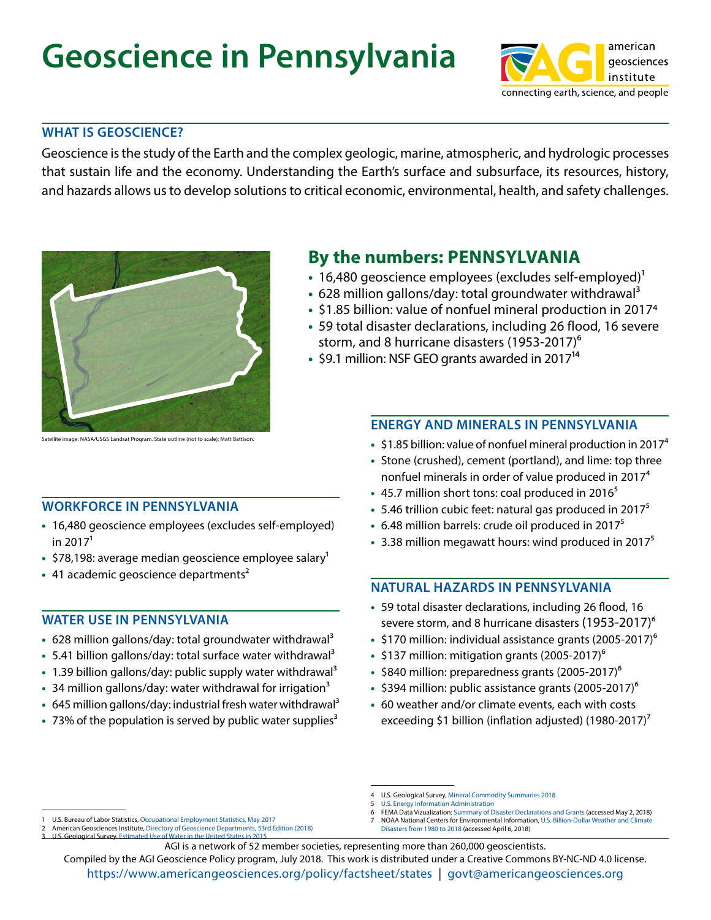# **Geoscience in Pennsylvania**



#### **WHAT IS GEOSCIENCE?**

Geoscience is the study of the Earth and the complex geologic, marine, atmospheric, and hydrologic processes that sustain life and the economy. Understanding the Earth's surface and subsurface, its resources, history, and hazards allows us to develop solutions to critical economic, environmental, health, and safety challenges.



Satellite image: NASA/USGS Landsat Program. State outline (not to scale): Matt Battison.

#### **WORKFORCE IN PENNSYLVANIA**

- **•** 16,480 geoscience employees (excludes self-employed) in  $2017<sup>1</sup>$
- \$78,198: average median geoscience employee salary<sup>1</sup>
- 41 academic geoscience departments<sup>2</sup>

#### **WATER USE IN PENNSYLVANIA**

- **•** 628 million gallons/day: total groundwater withdrawal3
- 5.41 billion gallons/day: total surface water withdrawal<sup>3</sup>
- 1.39 billion gallons/day: public supply water withdrawal<sup>3</sup>
- 34 million gallons/day: water withdrawal for irrigation<sup>3</sup>
- 645 million gallons/day: industrial fresh water withdrawal<sup>3</sup>
- 73% of the population is served by public water supplies<sup>3</sup>

1 U.S. Bureau of Labor Statistics, [Occupational Employment Statistics, May 2017](https://www.bls.gov/oes/) 2 American Geosciences Institute, [Directory of Geoscience Departments, 53rd Edition \(2018\)](https://www.americangeosciences.org/workforce/directory-of-geoscience-departments)

### **By the numbers: PENNSYLVANIA**

- 16,480 geoscience employees (excludes self-employed)<sup>1</sup>
- 628 million gallons/day: total groundwater withdrawal<sup>3</sup>
- **•** \$1.85 billion: value of nonfuel mineral production in 20174
- **•** 59 total disaster declarations, including 26 flood, 16 severe storm, and 8 hurricane disasters (1953-2017)<sup>6</sup>
- \$9.1 million: NSF GEO grants awarded in 2017<sup>14</sup>

#### **ENERGY AND MINERALS IN PENNSYLVANIA**

- **•** \$1.85 billion: value of nonfuel mineral production in 20174
- **•** Stone (crushed), cement (portland), and lime: top three nonfuel minerals in order of value produced in 20174
- 45.7 million short tons: coal produced in 2016<sup>5</sup>
- 5.46 trillion cubic feet: natural gas produced in 2017<sup>5</sup>
- **•** 6.48 million barrels: crude oil produced in 20175
- 3.38 million megawatt hours: wind produced in 2017<sup>5</sup>

#### **NATURAL HAZARDS IN PENNSYLVANIA**

- **•** 59 total disaster declarations, including 26 flood, 16 severe storm, and 8 hurricane disasters (1953-2017)<sup>6</sup>
- \$170 million: individual assistance grants (2005-2017)<sup>6</sup>
- **•** \$137 million: mitigation grants (2005-2017)6
- **•** \$840 million: preparedness grants (2005-2017)6
- \$394 million: public assistance grants (2005-2017)<sup>6</sup>
- **•** 60 weather and/or climate events, each with costs exceeding \$1 billion (inflation adjusted) (1980-2017)<sup>7</sup>

- [U.S. Energy Information Administration](https://www.eia.gov)
- 6 FEMA Data Vizualization: [Summary of Disaster Declarations and Grants \(accessed May 2, 2018\)](https://www.fema.gov/data-visualization-summary-disaster-declarations-and-grants)
- 7 NOAA National Centers for Environmental Information, [U.S. Billion-Dollar Weather and Climate](https://www.ncdc.noaa.gov/billions/)  [Disasters from 1980 to 2018 \(accessed April 6, 2018\)](https://www.ncdc.noaa.gov/billions/)
- 

<https://www.americangeosciences.org/policy/factsheet/states>| [govt@americangeosciences.org](mailto:govt%40americangeosciences.org?subject=State%20geoscience%20information) Compiled by the AGI Geoscience Policy program, July 2018. This work is distributed under a Creative Commons BY-NC-ND 4.0 license.

<sup>4</sup> U.S. Geological Survey, [Mineral Commodity Summaries 2018](https://doi.org/10.3133/70194932)

U.S. Geological Survey, [Estimated Use of Water in the United States in 2](https://pubs.er.usgs.gov/publication/cir1441	
)015 AGI is a network of 52 member societies, representing more than 260,000 geoscientists.